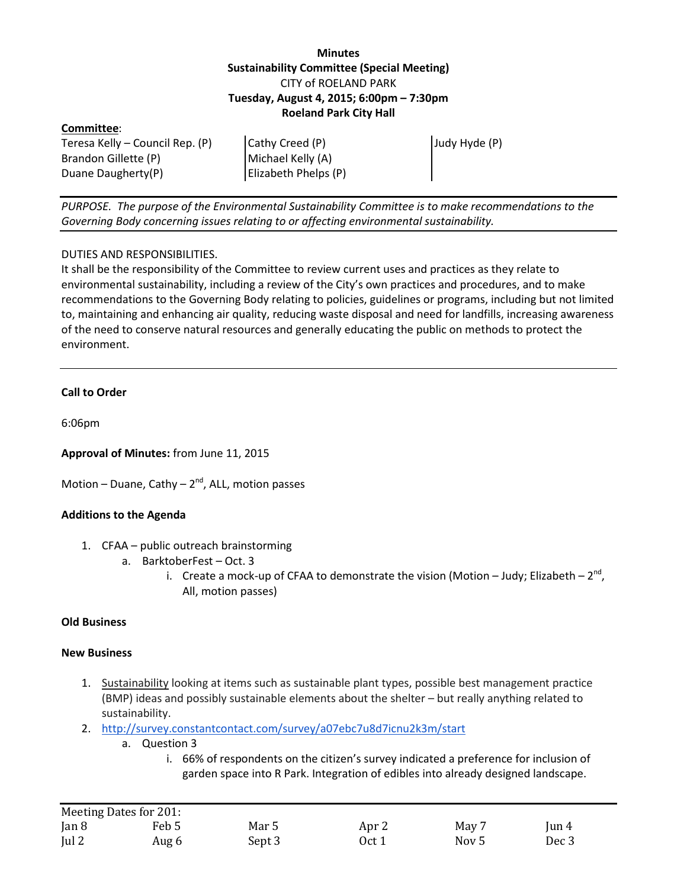## **Minutes Sustainability Committee (Special Meeting)** CITY of ROELAND PARK **Tuesday, August 4, 2015; 6:00pm – 7:30pm Roeland Park City Hall**

| Committee:                      |                      |               |
|---------------------------------|----------------------|---------------|
| Teresa Kelly – Council Rep. (P) | Cathy Creed (P)      | Judy Hyde (P) |
| Brandon Gillette (P)            | Michael Kelly (A)    |               |
| Duane Daugherty(P)              | Elizabeth Phelps (P) |               |

*PURPOSE. The purpose of the Environmental Sustainability Committee is to make recommendations to the Governing Body concerning issues relating to or affecting environmental sustainability.*

## DUTIES AND RESPONSIBILITIES.

It shall be the responsibility of the Committee to review current uses and practices as they relate to environmental sustainability, including a review of the City's own practices and procedures, and to make recommendations to the Governing Body relating to policies, guidelines or programs, including but not limited to, maintaining and enhancing air quality, reducing waste disposal and need for landfills, increasing awareness of the need to conserve natural resources and generally educating the public on methods to protect the environment.

## **Call to Order**

6:06pm

**Approval of Minutes:** from June 11, 2015

Motion – Duane, Cathy –  $2^{nd}$ , ALL, motion passes

#### **Additions to the Agenda**

- 1. CFAA public outreach brainstorming
	- a. BarktoberFest Oct. 3
		- i. Create a mock-up of CFAA to demonstrate the vision (Motion Judy; Elizabeth  $2^{nd}$ , All, motion passes)

#### **Old Business**

#### **New Business**

- 1. Sustainability looking at items such as sustainable plant types, possible best management practice (BMP) ideas and possibly sustainable elements about the shelter – but really anything related to sustainability.
- 2. <http://survey.constantcontact.com/survey/a07ebc7u8d7icnu2k3m/start>
	- a. Question 3
		- i. 66% of respondents on the citizen's survey indicated a preference for inclusion of garden space into R Park. Integration of edibles into already designed landscape.

| Meeting Dates for 201: |       |        |       |                  |          |
|------------------------|-------|--------|-------|------------------|----------|
| Jan 8                  | Feb 5 | Mar 5  | Apr 2 | May 7            | $\tan 4$ |
| ul2                    | Aug 6 | Sept 3 | Oct 1 | Nov <sub>5</sub> | Dec 3    |